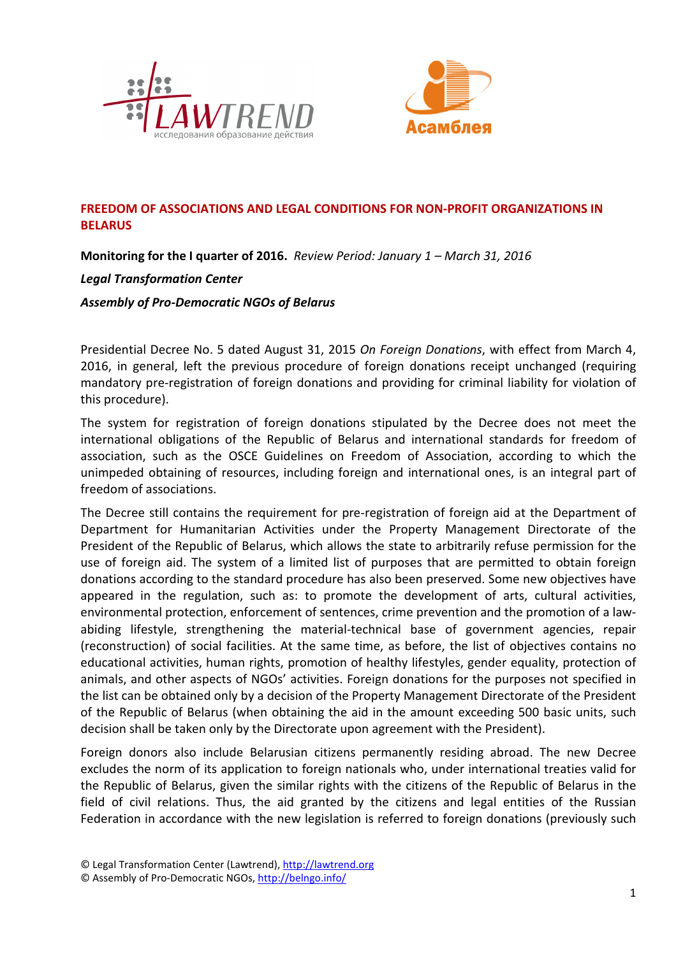



## **FREEDOM OF ASSOCIATIONS AND LEGAL CONDITIONS FOR NON-PROFIT ORGANIZATIONS IN BELARUS**

**Monitoring for the I quarter of 2016.** *Review Period: January 1 – March 31, 2016* 

## *Legal Transformation Center*

*Assembly of Pro-Democratic NGOs of Belarus* 

Presidential Decree No. 5 dated August 31, 2015 *On Foreign Donations*, with effect from March 4, 2016, in general, left the previous procedure of foreign donations receipt unchanged (requiring mandatory pre-registration of foreign donations and providing for criminal liability for violation of this procedure).

The system for registration of foreign donations stipulated by the Decree does not meet the international obligations of the Republic of Belarus and international standards for freedom of association, such as the OSCE Guidelines on Freedom of Association, according to which the unimpeded obtaining of resources, including foreign and international ones, is an integral part of freedom of associations.

The Decree still contains the requirement for pre-registration of foreign aid at the Department of Department for Humanitarian Activities under the Property Management Directorate of the President of the Republic of Belarus, which allows the state to arbitrarily refuse permission for the use of foreign aid. The system of a limited list of purposes that are permitted to obtain foreign donations according to the standard procedure has also been preserved. Some new objectives have appeared in the regulation, such as: to promote the development of arts, cultural activities, environmental protection, enforcement of sentences, crime prevention and the promotion of a lawabiding lifestyle, strengthening the material-technical base of government agencies, repair (reconstruction) of social facilities. At the same time, as before, the list of objectives contains no educational activities, human rights, promotion of healthy lifestyles, gender equality, protection of animals, and other aspects of NGOs' activities. Foreign donations for the purposes not specified in the list can be obtained only by a decision of the Property Management Directorate of the President of the Republic of Belarus (when obtaining the aid in the amount exceeding 500 basic units, such decision shall be taken only by the Directorate upon agreement with the President).

Foreign donors also include Belarusian citizens permanently residing abroad. The new Decree excludes the norm of its application to foreign nationals who, under international treaties valid for the Republic of Belarus, given the similar rights with the citizens of the Republic of Belarus in the field of civil relations. Thus, the aid granted by the citizens and legal entities of the Russian Federation in accordance with the new legislation is referred to foreign donations (previously such

<sup>©</sup> Legal Transformation Center (Lawtrend), http://lawtrend.org

<sup>©</sup> Assembly of Pro-Democratic NGOs, http://belngo.info/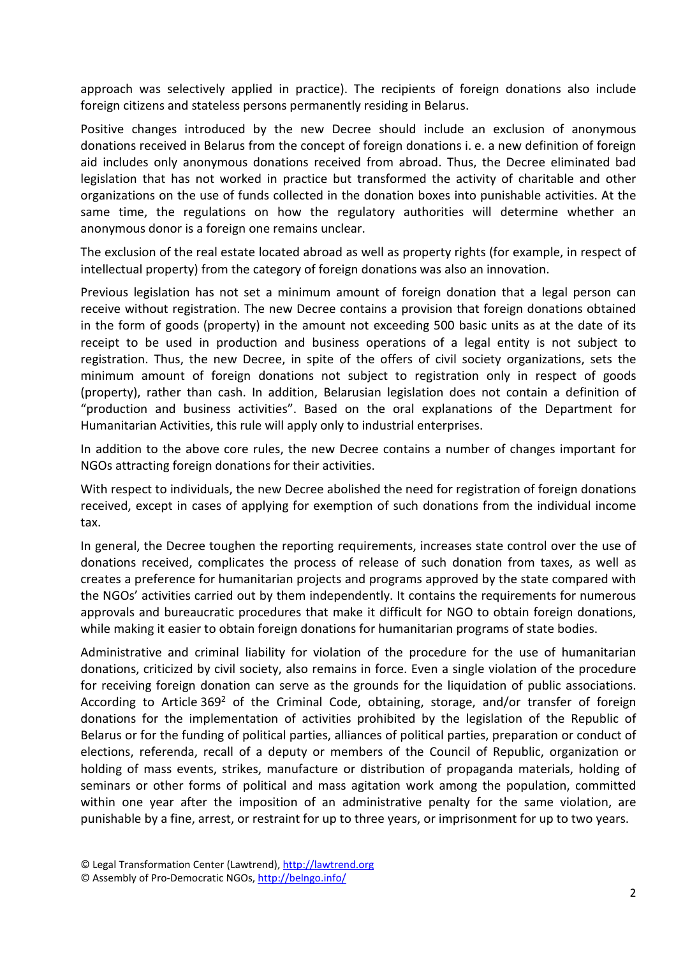approach was selectively applied in practice). The recipients of foreign donations also include foreign citizens and stateless persons permanently residing in Belarus.

Positive changes introduced by the new Decree should include an exclusion of anonymous donations received in Belarus from the concept of foreign donations i. e. a new definition of foreign aid includes only anonymous donations received from abroad. Thus, the Decree eliminated bad legislation that has not worked in practice but transformed the activity of charitable and other organizations on the use of funds collected in the donation boxes into punishable activities. At the same time, the regulations on how the regulatory authorities will determine whether an anonymous donor is a foreign one remains unclear.

The exclusion of the real estate located abroad as well as property rights (for example, in respect of intellectual property) from the category of foreign donations was also an innovation.

Previous legislation has not set a minimum amount of foreign donation that a legal person can receive without registration. The new Decree contains a provision that foreign donations obtained in the form of goods (property) in the amount not exceeding 500 basic units as at the date of its receipt to be used in production and business operations of a legal entity is not subject to registration. Thus, the new Decree, in spite of the offers of civil society organizations, sets the minimum amount of foreign donations not subject to registration only in respect of goods (property), rather than cash. In addition, Belarusian legislation does not contain a definition of "production and business activities". Based on the oral explanations of the Department for Humanitarian Activities, this rule will apply only to industrial enterprises.

In addition to the above core rules, the new Decree contains a number of changes important for NGOs attracting foreign donations for their activities.

With respect to individuals, the new Decree abolished the need for registration of foreign donations received, except in cases of applying for exemption of such donations from the individual income tax.

In general, the Decree toughen the reporting requirements, increases state control over the use of donations received, complicates the process of release of such donation from taxes, as well as creates a preference for humanitarian projects and programs approved by the state compared with the NGOs' activities carried out by them independently. It contains the requirements for numerous approvals and bureaucratic procedures that make it difficult for NGO to obtain foreign donations, while making it easier to obtain foreign donations for humanitarian programs of state bodies.

Administrative and criminal liability for violation of the procedure for the use of humanitarian donations, criticized by civil society, also remains in force. Even a single violation of the procedure for receiving foreign donation can serve as the grounds for the liquidation of public associations. According to Article 369<sup>2</sup> of the Criminal Code, obtaining, storage, and/or transfer of foreign donations for the implementation of activities prohibited by the legislation of the Republic of Belarus or for the funding of political parties, alliances of political parties, preparation or conduct of elections, referenda, recall of a deputy or members of the Council of Republic, organization or holding of mass events, strikes, manufacture or distribution of propaganda materials, holding of seminars or other forms of political and mass agitation work among the population, committed within one year after the imposition of an administrative penalty for the same violation, are punishable by a fine, arrest, or restraint for up to three years, or imprisonment for up to two years.

<sup>©</sup> Legal Transformation Center (Lawtrend), http://lawtrend.org

<sup>©</sup> Assembly of Pro-Democratic NGOs, http://belngo.info/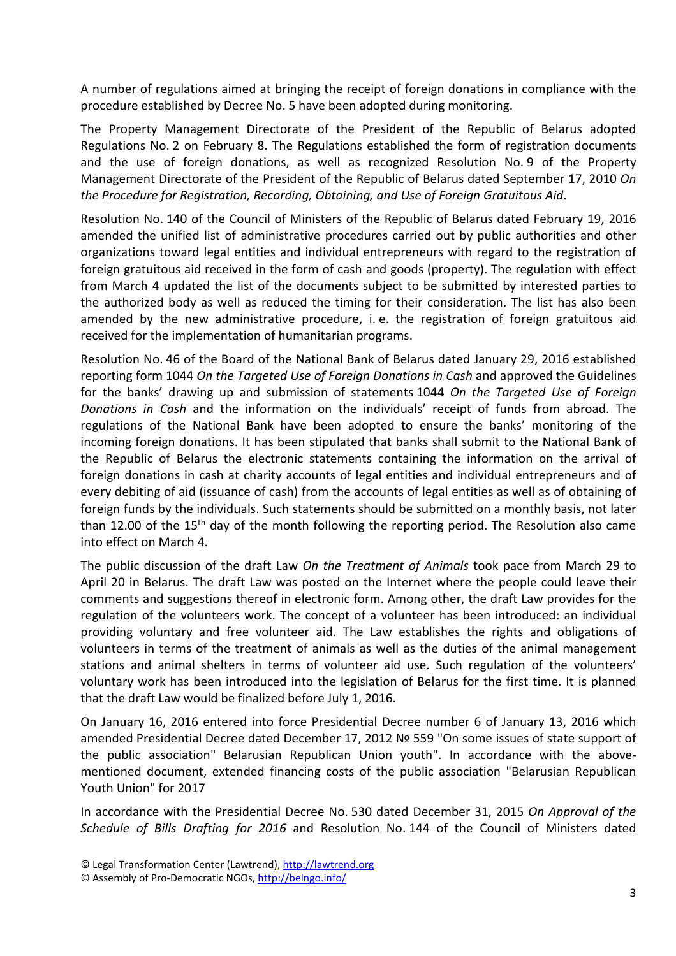A number of regulations aimed at bringing the receipt of foreign donations in compliance with the procedure established by Decree No. 5 have been adopted during monitoring.

The Property Management Directorate of the President of the Republic of Belarus adopted Regulations No. 2 on February 8. The Regulations established the form of registration documents and the use of foreign donations, as well as recognized Resolution No. 9 of the Property Management Directorate of the President of the Republic of Belarus dated September 17, 2010 *On the Procedure for Registration, Recording, Obtaining, and Use of Foreign Gratuitous Aid*.

Resolution No. 140 of the Council of Ministers of the Republic of Belarus dated February 19, 2016 amended the unified list of administrative procedures carried out by public authorities and other organizations toward legal entities and individual entrepreneurs with regard to the registration of foreign gratuitous aid received in the form of cash and goods (property). The regulation with effect from March 4 updated the list of the documents subject to be submitted by interested parties to the authorized body as well as reduced the timing for their consideration. The list has also been amended by the new administrative procedure, i. e. the registration of foreign gratuitous aid received for the implementation of humanitarian programs.

Resolution No. 46 of the Board of the National Bank of Belarus dated January 29, 2016 established reporting form 1044 *On the Targeted Use of Foreign Donations in Cash* and approved the Guidelines for the banks' drawing up and submission of statements 1044 *On the Targeted Use of Foreign Donations in Cash* and the information on the individuals' receipt of funds from abroad. The regulations of the National Bank have been adopted to ensure the banks' monitoring of the incoming foreign donations. It has been stipulated that banks shall submit to the National Bank of the Republic of Belarus the electronic statements containing the information on the arrival of foreign donations in cash at charity accounts of legal entities and individual entrepreneurs and of every debiting of aid (issuance of cash) from the accounts of legal entities as well as of obtaining of foreign funds by the individuals. Such statements should be submitted on a monthly basis, not later than 12.00 of the 15<sup>th</sup> day of the month following the reporting period. The Resolution also came into effect on March 4.

The public discussion of the draft Law *On the Treatment of Animals* took pace from March 29 to April 20 in Belarus. The draft Law was posted on the Internet where the people could leave their comments and suggestions thereof in electronic form. Among other, the draft Law provides for the regulation of the volunteers work. The concept of a volunteer has been introduced: an individual providing voluntary and free volunteer aid. The Law establishes the rights and obligations of volunteers in terms of the treatment of animals as well as the duties of the animal management stations and animal shelters in terms of volunteer aid use. Such regulation of the volunteers' voluntary work has been introduced into the legislation of Belarus for the first time. It is planned that the draft Law would be finalized before July 1, 2016.

On January 16, 2016 entered into force Presidential Decree number 6 of January 13, 2016 which amended Presidential Decree dated December 17, 2012 № 559 "On some issues of state support of the public association" Belarusian Republican Union youth". In accordance with the abovementioned document, extended financing costs of the public association "Belarusian Republican Youth Union" for 2017

In accordance with the Presidential Decree No. 530 dated December 31, 2015 *On Approval of the Schedule of Bills Drafting for 2016* and Resolution No. 144 of the Council of Ministers dated

<sup>©</sup> Legal Transformation Center (Lawtrend), http://lawtrend.org

<sup>©</sup> Assembly of Pro-Democratic NGOs, http://belngo.info/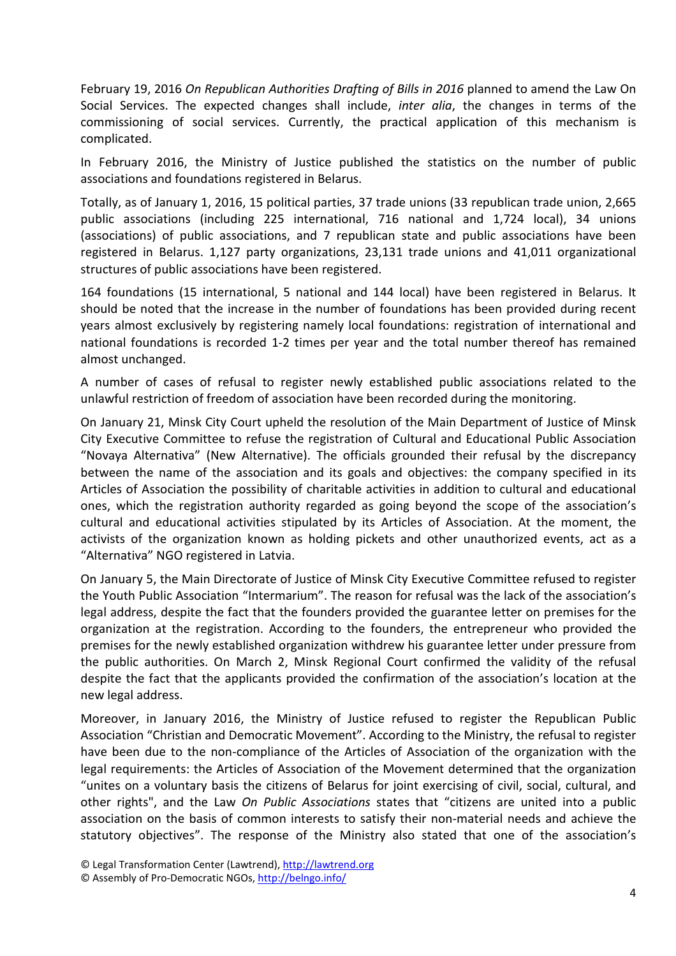February 19, 2016 *On Republican Authorities Drafting of Bills in 2016* planned to amend the Law On Social Services. The expected changes shall include, *inter alia*, the changes in terms of the commissioning of social services. Currently, the practical application of this mechanism is complicated.

In February 2016, the Ministry of Justice published the statistics on the number of public associations and foundations registered in Belarus.

Totally, as of January 1, 2016, 15 political parties, 37 trade unions (33 republican trade union, 2,665 public associations (including 225 international, 716 national and 1,724 local), 34 unions (associations) of public associations, and 7 republican state and public associations have been registered in Belarus. 1,127 party organizations, 23,131 trade unions and 41,011 organizational structures of public associations have been registered.

164 foundations (15 international, 5 national and 144 local) have been registered in Belarus. It should be noted that the increase in the number of foundations has been provided during recent years almost exclusively by registering namely local foundations: registration of international and national foundations is recorded 1-2 times per year and the total number thereof has remained almost unchanged.

A number of cases of refusal to register newly established public associations related to the unlawful restriction of freedom of association have been recorded during the monitoring.

On January 21, Minsk City Court upheld the resolution of the Main Department of Justice of Minsk City Executive Committee to refuse the registration of Cultural and Educational Public Association "Novaya Alternativa" (New Alternative). The officials grounded their refusal by the discrepancy between the name of the association and its goals and objectives: the company specified in its Articles of Association the possibility of charitable activities in addition to cultural and educational ones, which the registration authority regarded as going beyond the scope of the association's cultural and educational activities stipulated by its Articles of Association. At the moment, the activists of the organization known as holding pickets and other unauthorized events, act as a "Alternativa" NGO registered in Latvia.

On January 5, the Main Directorate of Justice of Minsk City Executive Committee refused to register the Youth Public Association "Intermarium". The reason for refusal was the lack of the association's legal address, despite the fact that the founders provided the guarantee letter on premises for the organization at the registration. According to the founders, the entrepreneur who provided the premises for the newly established organization withdrew his guarantee letter under pressure from the public authorities. On March 2, Minsk Regional Court confirmed the validity of the refusal despite the fact that the applicants provided the confirmation of the association's location at the new legal address.

Moreover, in January 2016, the Ministry of Justice refused to register the Republican Public Association "Christian and Democratic Movement". According to the Ministry, the refusal to register have been due to the non-compliance of the Articles of Association of the organization with the legal requirements: the Articles of Association of the Movement determined that the organization "unites on a voluntary basis the citizens of Belarus for joint exercising of civil, social, cultural, and other rights", and the Law *On Public Associations* states that "citizens are united into a public association on the basis of common interests to satisfy their non-material needs and achieve the statutory objectives". The response of the Ministry also stated that one of the association's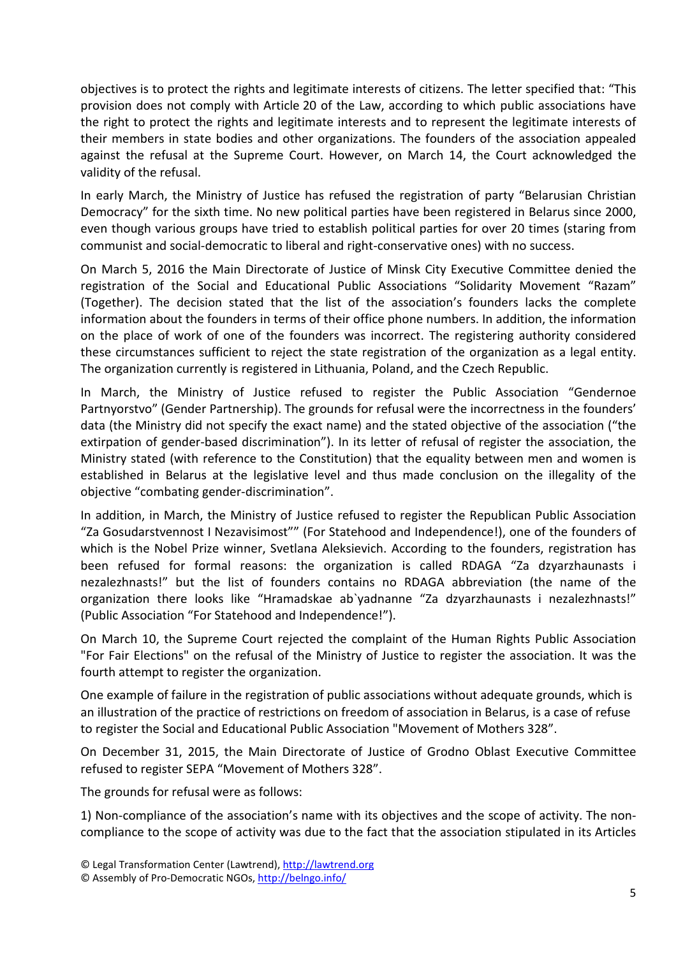objectives is to protect the rights and legitimate interests of citizens. The letter specified that: "This provision does not comply with Article 20 of the Law, according to which public associations have the right to protect the rights and legitimate interests and to represent the legitimate interests of their members in state bodies and other organizations. The founders of the association appealed against the refusal at the Supreme Court. However, on March 14, the Court acknowledged the validity of the refusal.

In early March, the Ministry of Justice has refused the registration of party "Belarusian Christian Democracy" for the sixth time. No new political parties have been registered in Belarus since 2000, even though various groups have tried to establish political parties for over 20 times (staring from communist and social-democratic to liberal and right-conservative ones) with no success.

On March 5, 2016 the Main Directorate of Justice of Minsk City Executive Committee denied the registration of the Social and Educational Public Associations "Solidarity Movement "Razam" (Together). The decision stated that the list of the association's founders lacks the complete information about the founders in terms of their office phone numbers. In addition, the information on the place of work of one of the founders was incorrect. The registering authority considered these circumstances sufficient to reject the state registration of the organization as a legal entity. The organization currently is registered in Lithuania, Poland, and the Czech Republic.

In March, the Ministry of Justice refused to register the Public Association "Gendernoe Partnyorstvo" (Gender Partnership). The grounds for refusal were the incorrectness in the founders' data (the Ministry did not specify the exact name) and the stated objective of the association ("the extirpation of gender-based discrimination"). In its letter of refusal of register the association, the Ministry stated (with reference to the Constitution) that the equality between men and women is established in Belarus at the legislative level and thus made conclusion on the illegality of the objective "combating gender-discrimination".

In addition, in March, the Ministry of Justice refused to register the Republican Public Association "Za Gosudarstvennost I Nezavisimost"" (For Statehood and Independence!), one of the founders of which is the Nobel Prize winner, Svetlana Aleksievich. According to the founders, registration has been refused for formal reasons: the organization is called RDAGA "Za dzyarzhaunasts i nezalezhnasts!" but the list of founders contains no RDAGA abbreviation (the name of the organization there looks like "Hramadskae ab`yadnanne "Za dzyarzhaunasts i nezalezhnasts!" (Public Association "For Statehood and Independence!").

On March 10, the Supreme Court rejected the complaint of the Human Rights Public Association "For Fair Elections" on the refusal of the Ministry of Justice to register the association. It was the fourth attempt to register the organization.

One example of failure in the registration of public associations without adequate grounds, which is an illustration of the practice of restrictions on freedom of association in Belarus, is a case of refuse to register the Social and Educational Public Association "Movement of Mothers 328".

On December 31, 2015, the Main Directorate of Justice of Grodno Oblast Executive Committee refused to register SEPA "Movement of Mothers 328".

The grounds for refusal were as follows:

1) Non-compliance of the association's name with its objectives and the scope of activity. The noncompliance to the scope of activity was due to the fact that the association stipulated in its Articles

<sup>©</sup> Legal Transformation Center (Lawtrend), http://lawtrend.org

<sup>©</sup> Assembly of Pro-Democratic NGOs, http://belngo.info/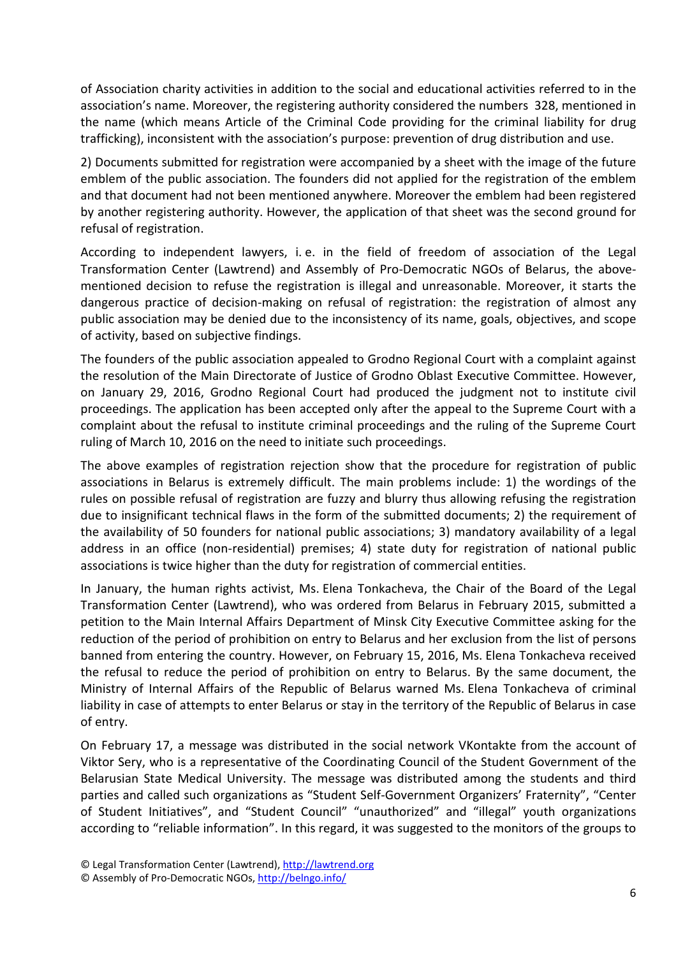of Association charity activities in addition to the social and educational activities referred to in the association's name. Moreover, the registering authority considered the numbers 328, mentioned in the name (which means Article of the Criminal Code providing for the criminal liability for drug trafficking), inconsistent with the association's purpose: prevention of drug distribution and use.

2) Documents submitted for registration were accompanied by a sheet with the image of the future emblem of the public association. The founders did not applied for the registration of the emblem and that document had not been mentioned anywhere. Moreover the emblem had been registered by another registering authority. However, the application of that sheet was the second ground for refusal of registration.

According to independent lawyers, i. e. in the field of freedom of association of the Legal Transformation Center (Lawtrend) and Assembly of Pro-Democratic NGOs of Belarus, the abovementioned decision to refuse the registration is illegal and unreasonable. Moreover, it starts the dangerous practice of decision-making on refusal of registration: the registration of almost any public association may be denied due to the inconsistency of its name, goals, objectives, and scope of activity, based on subjective findings.

The founders of the public association appealed to Grodno Regional Court with a complaint against the resolution of the Main Directorate of Justice of Grodno Oblast Executive Committee. However, on January 29, 2016, Grodno Regional Court had produced the judgment not to institute civil proceedings. The application has been accepted only after the appeal to the Supreme Court with a complaint about the refusal to institute criminal proceedings and the ruling of the Supreme Court ruling of March 10, 2016 on the need to initiate such proceedings.

The above examples of registration rejection show that the procedure for registration of public associations in Belarus is extremely difficult. The main problems include: 1) the wordings of the rules on possible refusal of registration are fuzzy and blurry thus allowing refusing the registration due to insignificant technical flaws in the form of the submitted documents; 2) the requirement of the availability of 50 founders for national public associations; 3) mandatory availability of a legal address in an office (non-residential) premises; 4) state duty for registration of national public associations is twice higher than the duty for registration of commercial entities.

In January, the human rights activist, Ms. Elena Tonkacheva, the Chair of the Board of the Legal Transformation Center (Lawtrend), who was ordered from Belarus in February 2015, submitted a petition to the Main Internal Affairs Department of Minsk City Executive Committee asking for the reduction of the period of prohibition on entry to Belarus and her exclusion from the list of persons banned from entering the country. However, on February 15, 2016, Ms. Elena Tonkacheva received the refusal to reduce the period of prohibition on entry to Belarus. By the same document, the Ministry of Internal Affairs of the Republic of Belarus warned Ms. Elena Tonkacheva of criminal liability in case of attempts to enter Belarus or stay in the territory of the Republic of Belarus in case of entry.

On February 17, a message was distributed in the social network VKontakte from the account of Viktor Sery, who is a representative of the Coordinating Council of the Student Government of the Belarusian State Medical University. The message was distributed among the students and third parties and called such organizations as "Student Self-Government Organizers' Fraternity", "Center of Student Initiatives", and "Student Council" "unauthorized" and "illegal" youth organizations according to "reliable information". In this regard, it was suggested to the monitors of the groups to

<sup>©</sup> Legal Transformation Center (Lawtrend), http://lawtrend.org

<sup>©</sup> Assembly of Pro-Democratic NGOs, http://belngo.info/